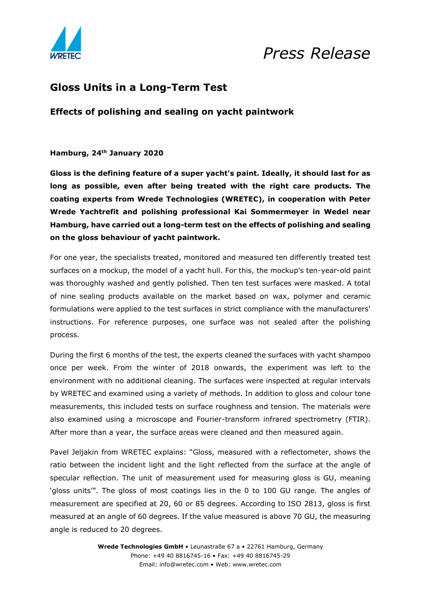

## *Press Release*

### **Gloss Units in a Long-Term Test**

**Effects of polishing and sealing on yacht paintwork**

**Hamburg, 24th January 2020** 

**Gloss is the defining feature of a super yacht's paint. Ideally, it should last for as long as possible, even after being treated with the right care products. The coating experts from Wrede Technologies (WRETEC), in cooperation with Peter Wrede Yachtrefit and polishing professional Kai Sommermeyer in Wedel near Hamburg, have carried out a long-term test on the effects of polishing and sealing on the gloss behaviour of yacht paintwork.** 

For one year, the specialists treated, monitored and measured ten differently treated test surfaces on a mockup, the model of a yacht hull. For this, the mockup's ten-year-old paint was thoroughly washed and gently polished. Then ten test surfaces were masked. A total of nine sealing products available on the market based on wax, polymer and ceramic formulations were applied to the test surfaces in strict compliance with the manufacturers' instructions. For reference purposes, one surface was not sealed after the polishing process.

During the first 6 months of the test, the experts cleaned the surfaces with yacht shampoo once per week. From the winter of 2018 onwards, the experiment was left to the environment with no additional cleaning. The surfaces were inspected at regular intervals by WRETEC and examined using a variety of methods. In addition to gloss and colour tone measurements, this included tests on surface roughness and tension. The materials were also examined using a microscope and Fourier-transform infrared spectrometry (FTIR). After more than a year, the surface areas were cleaned and then measured again.

Pavel Jeljakin from WRETEC explains: "Gloss, measured with a reflectometer, shows the ratio between the incident light and the light reflected from the surface at the angle of specular reflection. The unit of measurement used for measuring gloss is GU, meaning 'gloss units'". The gloss of most coatings lies in the 0 to 100 GU range. The angles of measurement are specified at 20, 60 or 85 degrees. According to ISO 2813, gloss is first measured at an angle of 60 degrees. If the value measured is above 70 GU, the measuring angle is reduced to 20 degrees.